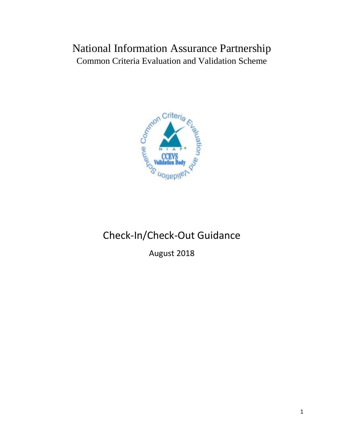## National Information Assurance Partnership Common Criteria Evaluation and Validation Scheme



# Check-In/Check-Out Guidance

August 2018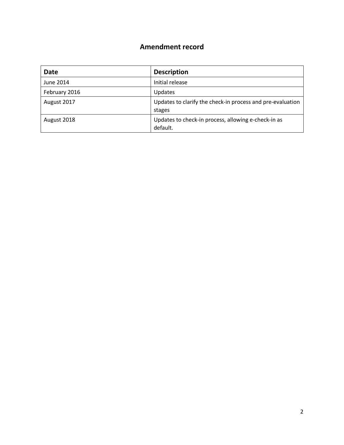#### **Amendment record**

| Date          | <b>Description</b>                                                   |
|---------------|----------------------------------------------------------------------|
| June 2014     | Initial release                                                      |
| February 2016 | Updates                                                              |
| August 2017   | Updates to clarify the check-in process and pre-evaluation<br>stages |
| August 2018   | Updates to check-in process, allowing e-check-in as<br>default.      |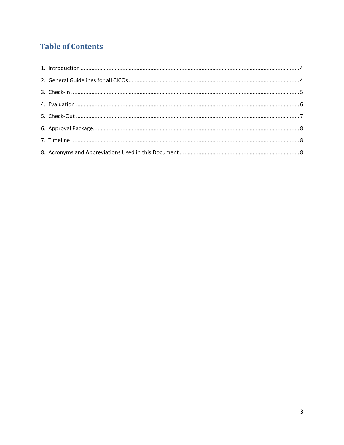### **Table of Contents**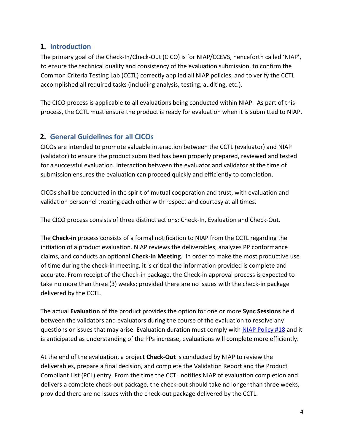#### <span id="page-3-0"></span>**1. Introduction**

The primary goal of the Check-In/Check-Out (CICO) is for NIAP/CCEVS, henceforth called 'NIAP', to ensure the technical quality and consistency of the evaluation submission, to confirm the Common Criteria Testing Lab (CCTL) correctly applied all NIAP policies, and to verify the CCTL accomplished all required tasks (including analysis, testing, auditing, etc.).

The CICO process is applicable to all evaluations being conducted within NIAP. As part of this process, the CCTL must ensure the product is ready for evaluation when it is submitted to NIAP.

#### <span id="page-3-1"></span>**2. General Guidelines for all CICOs**

CICOs are intended to promote valuable interaction between the CCTL (evaluator) and NIAP (validator) to ensure the product submitted has been properly prepared, reviewed and tested for a successful evaluation. Interaction between the evaluator and validator at the time of submission ensures the evaluation can proceed quickly and efficiently to completion.

CICOs shall be conducted in the spirit of mutual cooperation and trust, with evaluation and validation personnel treating each other with respect and courtesy at all times.

The CICO process consists of three distinct actions: Check-In, Evaluation and Check-Out.

The **Check-in** process consists of a formal notification to NIAP from the CCTL regarding the initiation of a product evaluation. NIAP reviews the deliverables, analyzes PP conformance claims, and conducts an optional **Check-in Meeting**. In order to make the most productive use of time during the check-in meeting, it is critical the information provided is complete and accurate. From receipt of the Check-in package, the Check-in approval process is expected to take no more than three (3) weeks; provided there are no issues with the check-in package delivered by the CCTL.

The actual **Evaluation** of the product provides the option for one or more **Sync Sessions** held between the validators and evaluators during the course of the evaluation to resolve any questions or issues that may arise. Evaluation duration must comply with [NIAP Policy #18](https://www.niap-ccevs.org/Documents_and_Guidance/policy.cfm) and it is anticipated as understanding of the PPs increase, evaluations will complete more efficiently.

At the end of the evaluation, a project **Check-Out** is conducted by NIAP to review the deliverables, prepare a final decision, and complete the Validation Report and the Product Compliant List (PCL) entry. From the time the CCTL notifies NIAP of evaluation completion and delivers a complete check-out package, the check-out should take no longer than three weeks, provided there are no issues with the check-out package delivered by the CCTL.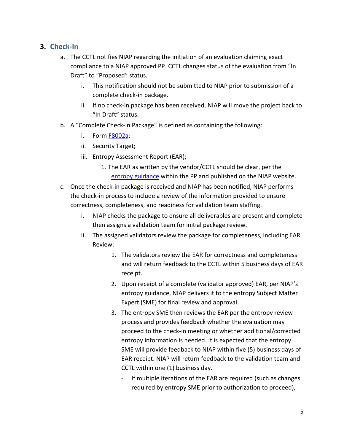#### <span id="page-4-0"></span>**3. Check-In**

- a. The CCTL notifies NIAP regarding the initiation of an evaluation claiming exact compliance to a NIAP approved PP. CCTL changes status of the evaluation from "In Draft" to "Proposed" status.
	- i. This notification should not be submitted to NIAP prior to submission of a complete check-in package.
	- ii. If no check-in package has been received, NIAP will move the project back to "In Draft" status.
- b. A "Complete Check-in Package" is defined as containing the following:
	- i. Form **F8002a**;
	- ii. Security Target;
	- iii. Entropy Assessment Report (EAR);
		- 1. The EAR as written by the vendor/CCTL should be clear, per the [entropy guidance](https://www.niap-ccevs.org/MMO/GD/Entropy%20Documentation%20and%20Assessment%20Clarification.pdf) within the PP and published on the NIAP website.
- c. Once the check-in package is received and NIAP has been notified, NIAP performs the check-in process to include a review of the information provided to ensure correctness, completeness, and readiness for validation team staffing.
	- i. NIAP checks the package to ensure all deliverables are present and complete then assigns a validation team for initial package review.
	- ii. The assigned validators review the package for completeness, including EAR Review:
		- 1. The validators review the EAR for correctness and completeness and will return feedback to the CCTL within 5 business days of EAR receipt.
		- 2. Upon receipt of a complete (validator approved) EAR, per NIAP's entropy guidance, NIAP delivers it to the entropy Subject Matter Expert (SME) for final review and approval.
		- 3. The entropy SME then reviews the EAR per the entropy review process and provides feedback whether the evaluation may proceed to the check-in meeting or whether additional/corrected entropy information is needed. It is expected that the entropy SME will provide feedback to NIAP within five (5) business days of EAR receipt. NIAP will return feedback to the validation team and CCTL within one (1) business day.
			- If multiple iterations of the EAR are required (such as changes required by entropy SME prior to authorization to proceed),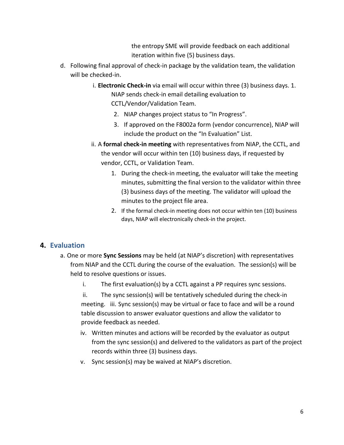the entropy SME will provide feedback on each additional iteration within five (5) business days.

- d. Following final approval of check-in package by the validation team, the validation will be checked-in.
	- i. **Electronic Check-in** via email will occur within three (3) business days. 1. NIAP sends check-in email detailing evaluation to CCTL/Vendor/Validation Team.
		- 2. NIAP changes project status to "In Progress".
		- 3. If approved on the F8002a form (vendor concurrence), NIAP will include the product on the "In Evaluation" List.
	- ii. A **formal check-in meeting** with representatives from NIAP, the CCTL, and the vendor will occur within ten (10) business days, if requested by vendor, CCTL, or Validation Team.
		- 1. During the check-in meeting, the evaluator will take the meeting minutes, submitting the final version to the validator within three (3) business days of the meeting. The validator will upload the minutes to the project file area.
		- 2. If the formal check-in meeting does not occur within ten (10) business days, NIAP will electronically check-in the project.

#### <span id="page-5-0"></span>**4. Evaluation**

- a. One or more **Sync Sessions** may be held (at NIAP's discretion) with representatives from NIAP and the CCTL during the course of the evaluation. The session(s) will be held to resolve questions or issues.
	- i. The first evaluation(s) by a CCTL against a PP requires sync sessions.
	- ii. The sync session(s) will be tentatively scheduled during the check-in meeting. iii. Sync session(s) may be virtual or face to face and will be a round table discussion to answer evaluator questions and allow the validator to provide feedback as needed.
	- iv. Written minutes and actions will be recorded by the evaluator as output from the sync session(s) and delivered to the validators as part of the project records within three (3) business days.
	- v. Sync session(s) may be waived at NIAP's discretion.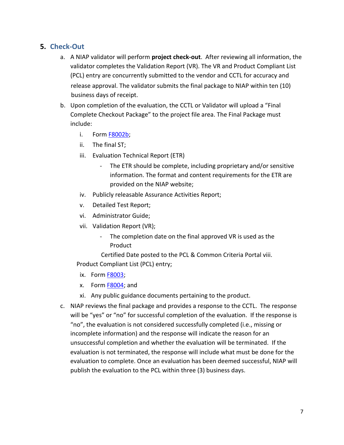#### <span id="page-6-0"></span>**5. Check-Out**

- a. A NIAP validator will perform **project check-out**. After reviewing all information, the validator completes the Validation Report (VR). The VR and Product Compliant List (PCL) entry are concurrently submitted to the vendor and CCTL for accuracy and release approval. The validator submits the final package to NIAP within ten (10) business days of receipt.
- b. Upon completion of the evaluation, the CCTL or Validator will upload a "Final Complete Checkout Package" to the project file area. The Final Package must include:
	- i. Form **F8002b**;
	- ii. The final ST;
	- iii. Evaluation Technical Report (ETR)
		- The ETR should be complete, including proprietary and/or sensitive information. The format and content requirements for the ETR are provided on the NIAP website;
	- iv. Publicly releasable Assurance Activities Report;
	- v. Detailed Test Report;
	- vi. Administrator Guide;
	- vii. Validation Report (VR);
		- The completion date on the final approved VR is used as the Product

Certified Date posted to the PCL & Common Criteria Portal viii. Product Compliant List (PCL) entry;

- ix. Form **F8003**;
- x. Form [F8004;](https://www.niap-ccevs.org/Documents_and_Guidance/forms.cfm) and
- xi. Any public guidance documents pertaining to the product.
- c. NIAP reviews the final package and provides a response to the CCTL. The response will be "yes" or "no" for successful completion of the evaluation. If the response is "no", the evaluation is not considered successfully completed (i.e., missing or incomplete information) and the response will indicate the reason for an unsuccessful completion and whether the evaluation will be terminated. If the evaluation is not terminated, the response will include what must be done for the evaluation to complete. Once an evaluation has been deemed successful, NIAP will publish the evaluation to the PCL within three (3) business days.